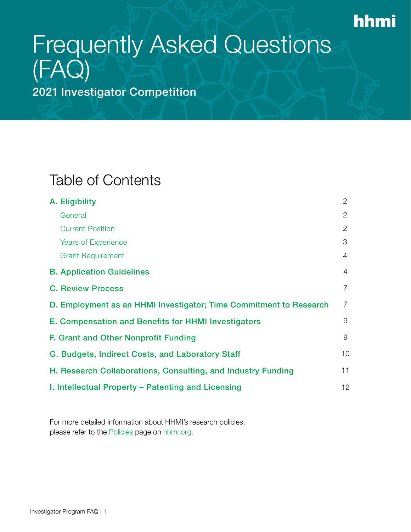## hhmi

# Frequently Asked Questions (FAQ)

2021 Investigator Competition

### <span id="page-0-0"></span>Table of Contents

| A. Eligibility                                                     | 2              |
|--------------------------------------------------------------------|----------------|
| General                                                            | 2              |
| <b>Current Position</b>                                            | 2              |
| <b>Years of Experience</b>                                         | 3              |
| <b>Grant Requirement</b>                                           | 4              |
| <b>B. Application Guidelines</b>                                   | 4              |
| <b>C. Review Process</b>                                           | $\overline{7}$ |
| D. Employment as an HHMI Investigator; Time Commitment to Research | $\overline{7}$ |
| E. Compensation and Benefits for HHMI Investigators                | 9              |
| F. Grant and Other Nonprofit Funding                               | 9              |
| G. Budgets, Indirect Costs, and Laboratory Staff                   | 10             |
| H. Research Collaborations, Consulting, and Industry Funding       | 11             |
| I. Intellectual Property – Patenting and Licensing                 | 12             |

For more detailed information about HHMI's research policies, please refer to the [Policies](https://www.hhmi.org/about/policies/) page on [hhmi.org](http://www.hhmi.org).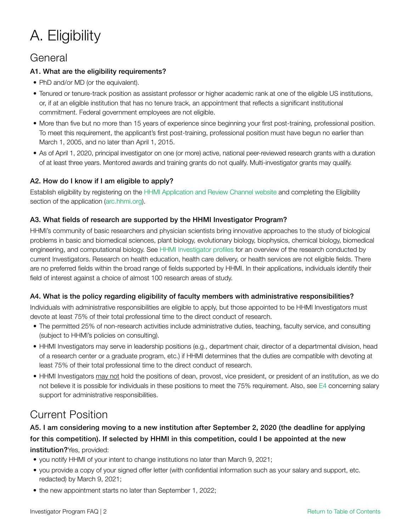## <span id="page-1-0"></span>A. Eligibility

### <span id="page-1-1"></span>General

#### A1. What are the eligibility requirements?

- PhD and/or MD (or the equivalent).
- Tenured or tenure-track position as assistant professor or higher academic rank at one of the eligible US institutions, or, if at an eligible institution that has no tenure track, an appointment that reflects a significant institutional commitment. Federal government employees are not eligible.
- More than five but no more than 15 years of experience since beginning your first post-training, professional position. To meet this requirement, the applicant's first post-training, professional position must have begun no earlier than March 1, 2005, and no later than April 1, 2015.
- As of April 1, 2020, principal investigator on one (or more) active, national peer-reviewed research grants with a duration of at least three years. Mentored awards and training grants do not qualify. Multi-investigator grants may qualify.

#### A2. How do I know if I am eligible to apply?

Establish eligibility by registering on the [HHMI Application and Review Channel website](http://arc.hhmi.org/) and completing the Eligibility section of the application ([arc.hhmi.org\)](https://arc.hhmi.org).

#### A3. What fields of research are supported by the HHMI Investigator Program?

HHMI's community of basic researchers and physician scientists bring innovative approaches to the study of biological problems in basic and biomedical sciences, plant biology, evolutionary biology, biophysics, chemical biology, biomedical engineering, and computational biology. See [HHMI Investigator profiles](https://www.hhmi.org/scientists/browse?&field_scientist_classification%5b0%5d=17367) for an overview of the research conducted by current Investigators. Research on health education, health care delivery, or health services are not eligible fields. There are no preferred fields within the broad range of fields supported by HHMI. In their applications, individuals identify their field of interest against a choice of almost 100 research areas of study.

#### A4. What is the policy regarding eligibility of faculty members with administrative responsibilities?

Individuals with administrative responsibilities are eligible to apply, but those appointed to be HHMI Investigators must devote at least 75% of their total professional time to the direct conduct of research.

- The permitted 25% of non-research activities include administrative duties, teaching, faculty service, and consulting (subject to HHMI's policies on consulting).
- HHMI Investigators may serve in leadership positions (e.g., department chair, director of a departmental division, head of a research center or a graduate program, etc.) if HHMI determines that the duties are compatible with devoting at least 75% of their total professional time to the direct conduct of research.
- HHMI Investigators may not hold the positions of dean, provost, vice president, or president of an institution, as we do not believe it is possible for individuals in these positions to meet the 75% requirement. Also, see [E4](#page-8-2) concerning salary support for administrative responsibilities.

### <span id="page-1-2"></span>Current Position

A5. I am considering moving to a new institution after September 2, 2020 (the deadline for applying for this competition). If selected by HHMI in this competition, could I be appointed at the new institution?Yes, provided:

- you notify HHMI of your intent to change institutions no later than March 9, 2021;
- you provide a copy of your signed offer letter (with confidential information such as your salary and support, etc. redacted) by March 9, 2021;
- the new appointment starts no later than September 1, 2022;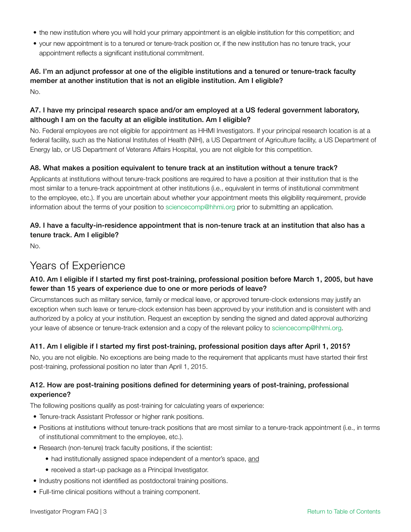- the new institution where you will hold your primary appointment is an eligible institution for this competition; and
- your new appointment is to a tenured or tenure-track position or, if the new institution has no tenure track, your appointment reflects a significant institutional commitment.

### A6. I'm an adjunct professor at one of the eligible institutions and a tenured or tenure-track faculty member at another institution that is not an eligible institution. Am I eligible?

No.

#### A7. I have my principal research space and/or am employed at a US federal government laboratory, although I am on the faculty at an eligible institution. Am I eligible?

No. Federal employees are not eligible for appointment as HHMI Investigators. If your principal research location is at a federal facility, such as the National Institutes of Health (NIH), a US Department of Agriculture facility, a US Department of Energy lab, or US Department of Veterans Affairs Hospital, you are not eligible for this competition.

#### A8. What makes a position equivalent to tenure track at an institution without a tenure track?

Applicants at institutions without tenure-track positions are required to have a position at their institution that is the most similar to a tenure-track appointment at other institutions (i.e., equivalent in terms of institutional commitment to the employee, etc.). If you are uncertain about whether your appointment meets this eligibility requirement, provide information about the terms of your position to [sciencecomp@hhmi.org](mailto:sciencecomp@hhmi.org) prior to submitting an application.

#### A9. I have a faculty-in-residence appointment that is non-tenure track at an institution that also has a tenure track. Am I eligible?

No.

### <span id="page-2-0"></span>Years of Experience

#### A10. Am I eligible if I started my first post-training, professional position before March 1, 2005, but have fewer than 15 years of experience due to one or more periods of leave?

Circumstances such as military service, family or medical leave, or approved tenure-clock extensions may justify an exception when such leave or tenure-clock extension has been approved by your institution and is consistent with and authorized by a policy at your institution. Request an exception by sending the signed and dated approval authorizing your leave of absence or tenure-track extension and a copy of the relevant policy to [sciencecomp@hhmi.org.](mailto:sciencecomp@hhmi.org)

#### A11. Am I eligible if I started my first post-training, professional position days after April 1, 2015?

No, you are not eligible. No exceptions are being made to the requirement that applicants must have started their first post-training, professional position no later than April 1, 2015.

#### A12. How are post-training positions defined for determining years of post-training, professional experience?

The following positions qualify as post-training for calculating years of experience:

- Tenure-track Assistant Professor or higher rank positions.
- Positions at institutions without tenure-track positions that are most similar to a tenure-track appointment (i.e., in terms of institutional commitment to the employee, etc.).
- Research (non-tenure) track faculty positions, if the scientist:
	- had institutionally assigned space independent of a mentor's space, and
	- received a start-up package as a Principal Investigator.
- Industry positions not identified as postdoctoral training positions.
- Full-time clinical positions without a training component.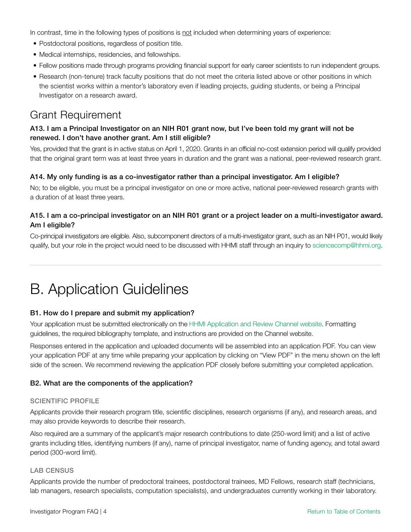In contrast, time in the following types of positions is not included when determining years of experience:

- Postdoctoral positions, regardless of position title.
- Medical internships, residencies, and fellowships.
- Fellow positions made through programs providing financial support for early career scientists to run independent groups.
- Research (non-tenure) track faculty positions that do not meet the criteria listed above or other positions in which the scientist works within a mentor's laboratory even if leading projects, guiding students, or being a Principal Investigator on a research award.

### <span id="page-3-0"></span>Grant Requirement

#### A13. I am a Principal Investigator on an NIH R01 grant now, but I've been told my grant will not be renewed. I don't have another grant. Am I still eligible?

Yes, provided that the grant is in active status on April 1, 2020. Grants in an official no-cost extension period will qualify provided that the original grant term was at least three years in duration and the grant was a national, peer-reviewed research grant.

#### A14. My only funding is as a co-investigator rather than a principal investigator. Am I eligible?

No; to be eligible, you must be a principal investigator on one or more active, national peer-reviewed research grants with a duration of at least three years.

#### A15. I am a co-principal investigator on an NIH R01 grant or a project leader on a multi-investigator award. Am I eligible?

Co-principal investigators are eligible. Also, subcomponent directors of a multi-investigator grant, such as an NIH P01, would likely qualify, but your role in the project would need to be discussed with HHMI staff through an inquiry to [sciencecomp@hhmi.org](mailto:sciencecomp@hhmi.org).

### <span id="page-3-1"></span>B. Application Guidelines

#### B1. How do I prepare and submit my application?

Your application must be submitted electronically on the [HHMI Application and Review Channel website.](http://arc.hhmi.org/) Formatting guidelines, the required bibliography template, and instructions are provided on the Channel website.

Responses entered in the application and uploaded documents will be assembled into an application PDF. You can view your application PDF at any time while preparing your application by clicking on "View PDF" in the menu shown on the left side of the screen. We recommend reviewing the application PDF closely before submitting your completed application.

#### B2. What are the components of the application?

#### SCIENTIFIC PROFILE

Applicants provide their research program title, scientific disciplines, research organisms (if any), and research areas, and may also provide keywords to describe their research.

Also required are a summary of the applicant's major research contributions to date (250-word limit) and a list of active grants including titles, identifying numbers (if any), name of principal investigator, name of funding agency, and total award period (300-word limit).

#### LAB CENSUS

Applicants provide the number of predoctoral trainees, postdoctoral trainees, MD Fellows, research staff (technicians, lab managers, research specialists, computation specialists), and undergraduates currently working in their laboratory.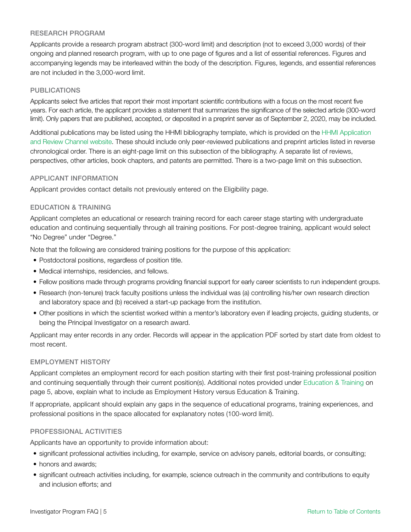#### RESEARCH PROGRAM

Applicants provide a research program abstract (300-word limit) and description (not to exceed 3,000 words) of their ongoing and planned research program, with up to one page of figures and a list of essential references. Figures and accompanying legends may be interleaved within the body of the description. Figures, legends, and essential references are not included in the 3,000-word limit.

#### PUBLICATIONS

Applicants select five articles that report their most important scientific contributions with a focus on the most recent five years. For each article, the applicant provides a statement that summarizes the significance of the selected article (300-word limit). Only papers that are published, accepted, or deposited in a preprint server as of September 2, 2020, may be included.

Additional publications may be listed using the HHMI bibliography template, which is provided on the [HHMI Application](http://arc.hhmi.org/)  [and Review Channel website.](http://arc.hhmi.org/) These should include only peer-reviewed publications and preprint articles listed in reverse chronological order. There is an eight-page limit on this subsection of the bibliography. A separate list of reviews, perspectives, other articles, book chapters, and patents are permitted. There is a two-page limit on this subsection.

#### APPLICANT INFORMATION

Applicant provides contact details not previously entered on the Eligibility page.

#### <span id="page-4-0"></span>EDUCATION & TRAINING

Applicant completes an educational or research training record for each career stage starting with undergraduate education and continuing sequentially through all training positions. For post-degree training, applicant would select "No Degree" under "Degree."

Note that the following are considered training positions for the purpose of this application:

- Postdoctoral positions, regardless of position title.
- Medical internships, residencies, and fellows.
- Fellow positions made through programs providing financial support for early career scientists to run independent groups.
- Research (non-tenure) track faculty positions unless the individual was (a) controlling his/her own research direction and laboratory space and (b) received a start-up package from the institution.
- Other positions in which the scientist worked within a mentor's laboratory even if leading projects, guiding students, or being the Principal Investigator on a research award.

Applicant may enter records in any order. Records will appear in the application PDF sorted by start date from oldest to most recent.

#### EMPLOYMENT HISTORY

Applicant completes an employment record for each position starting with their first post-training professional position and continuing sequentially through their current position(s). Additional notes provided under [Education & Training on](#page-4-0)  [page 5,](#page-4-0) above, explain what to include as Employment History versus Education & Training.

If appropriate, applicant should explain any gaps in the sequence of educational programs, training experiences, and professional positions in the space allocated for explanatory notes (100-word limit).

#### PROFESSIONAL ACTIVITIES

Applicants have an opportunity to provide information about:

- significant professional activities including, for example, service on advisory panels, editorial boards, or consulting;
- honors and awards;
- significant outreach activities including, for example, science outreach in the community and contributions to equity and inclusion efforts; and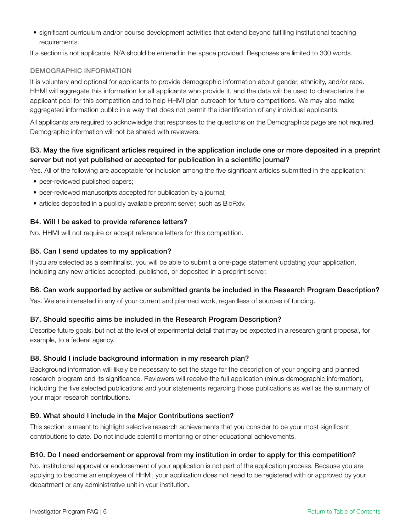• significant curriculum and/or course development activities that extend beyond fulfilling institutional teaching requirements.

If a section is not applicable, N/A should be entered in the space provided. Responses are limited to 300 words.

#### DEMOGRAPHIC INFORMATION

It is voluntary and optional for applicants to provide demographic information about gender, ethnicity, and/or race. HHMI will aggregate this information for all applicants who provide it, and the data will be used to characterize the applicant pool for this competition and to help HHMI plan outreach for future competitions. We may also make aggregated information public in a way that does not permit the identification of any individual applicants.

All applicants are required to acknowledge that responses to the questions on the Demographics page are not required. Demographic information will not be shared with reviewers.

#### B3. May the five significant articles required in the application include one or more deposited in a preprint server but not yet published or accepted for publication in a scientific journal?

Yes. All of the following are acceptable for inclusion among the five significant articles submitted in the application:

- peer-reviewed published papers;
- peer-reviewed manuscripts accepted for publication by a journal;
- articles deposited in a publicly available preprint server, such as BioRxiv.

#### B4. Will I be asked to provide reference letters?

No. HHMI will not require or accept reference letters for this competition.

#### B5. Can I send updates to my application?

If you are selected as a semifinalist, you will be able to submit a one-page statement updating your application, including any new articles accepted, published, or deposited in a preprint server.

#### B6. Can work supported by active or submitted grants be included in the Research Program Description?

Yes. We are interested in any of your current and planned work, regardless of sources of funding.

#### B7. Should specific aims be included in the Research Program Description?

Describe future goals, but not at the level of experimental detail that may be expected in a research grant proposal, for example, to a federal agency.

#### B8. Should I include background information in my research plan?

Background information will likely be necessary to set the stage for the description of your ongoing and planned research program and its significance. Reviewers will receive the full application (minus demographic information), including the five selected publications and your statements regarding those publications as well as the summary of your major research contributions.

#### B9. What should I include in the Major Contributions section?

This section is meant to highlight selective research achievements that you consider to be your most significant contributions to date. Do not include scientific mentoring or other educational achievements.

#### B10. Do I need endorsement or approval from my institution in order to apply for this competition?

No. Institutional approval or endorsement of your application is not part of the application process. Because you are applying to become an employee of HHMI, your application does not need to be registered with or approved by your department or any administrative unit in your institution.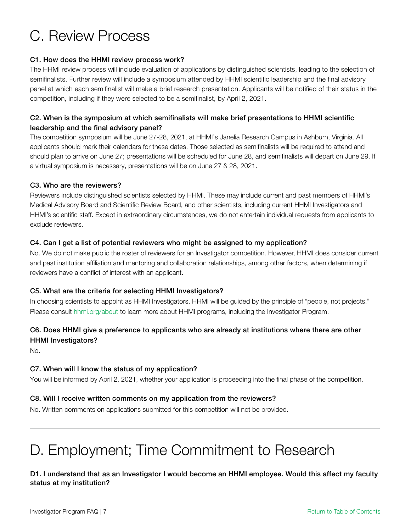### <span id="page-6-0"></span>C. Review Process

#### C1. How does the HHMI review process work?

The HHMI review process will include evaluation of applications by distinguished scientists, leading to the selection of semifinalists. Further review will include a symposium attended by HHMI scientific leadership and the final advisory panel at which each semifinalist will make a brief research presentation. Applicants will be notified of their status in the competition, including if they were selected to be a semifinalist, by April 2, 2021.

#### C2. When is the symposium at which semifinalists will make brief presentations to HHMI scientific leadership and the final advisory panel?

The competition symposium will be June 27-28, 2021, at HHMI's Janelia Research Campus in Ashburn, Virginia. All applicants should mark their calendars for these dates. Those selected as semifinalists will be required to attend and should plan to arrive on June 27; presentations will be scheduled for June 28, and semifinalists will depart on June 29. If a virtual symposium is necessary, presentations will be on June 27 & 28, 2021.

#### C3. Who are the reviewers?

Reviewers include distinguished scientists selected by HHMI. These may include current and past members of HHMI's Medical Advisory Board and Scientific Review Board, and other scientists, including current HHMI Investigators and HHMI's scientific staff. Except in extraordinary circumstances, we do not entertain individual requests from applicants to exclude reviewers.

#### C4. Can I get a list of potential reviewers who might be assigned to my application?

No. We do not make public the roster of reviewers for an Investigator competition. However, HHMI does consider current and past institution affiliation and mentoring and collaboration relationships, among other factors, when determining if reviewers have a conflict of interest with an applicant.

#### C5. What are the criteria for selecting HHMI Investigators?

In choosing scientists to appoint as HHMI Investigators, HHMI will be guided by the principle of "people, not projects." Please consult [hhmi.org/about](http://www.hhmi.org/about) to learn more about HHMI programs, including the Investigator Program.

#### C6. Does HHMI give a preference to applicants who are already at institutions where there are other HHMI Investigators?

No.

#### C7. When will I know the status of my application?

You will be informed by April 2, 2021, whether your application is proceeding into the final phase of the competition.

#### C8. Will I receive written comments on my application from the reviewers?

<span id="page-6-1"></span>No. Written comments on applications submitted for this competition will not be provided.

## D. Employment; Time Commitment to Research

#### D1. I understand that as an Investigator I would become an HHMI employee. Would this affect my faculty status at my institution?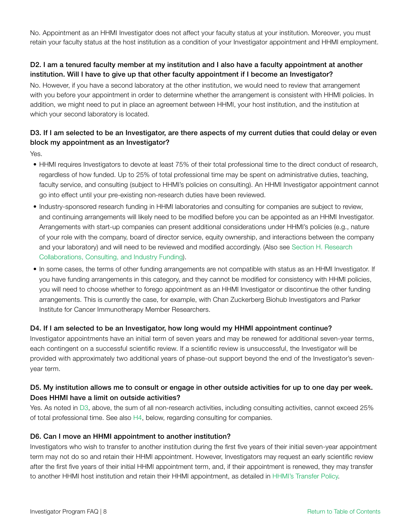No. Appointment as an HHMI Investigator does not affect your faculty status at your institution. Moreover, you must retain your faculty status at the host institution as a condition of your Investigator appointment and HHMI employment.

#### D2. I am a tenured faculty member at my institution and I also have a faculty appointment at another institution. Will I have to give up that other faculty appointment if I become an Investigator?

<span id="page-7-0"></span>No. However, if you have a second laboratory at the other institution, we would need to review that arrangement with you before your appointment in order to determine whether the arrangement is consistent with HHMI policies. In addition, we might need to put in place an agreement between HHMI, your host institution, and the institution at which your second laboratory is located.

#### D3. If I am selected to be an Investigator, are there aspects of my current duties that could delay or even block my appointment as an Investigator?

Yes.

- HHMI requires Investigators to devote at least 75% of their total professional time to the direct conduct of research, regardless of how funded. Up to 25% of total professional time may be spent on administrative duties, teaching, faculty service, and consulting (subject to HHMI's policies on consulting). An HHMI Investigator appointment cannot go into effect until your pre-existing non-research duties have been reviewed.
- Industry-sponsored research funding in HHMI laboratories and consulting for companies are subject to review, and continuing arrangements will likely need to be modified before you can be appointed as a[n HHMI Invest](#page-10-0)igator. Arrangements with start-up companies can present additional considerations under HHMI's policies (e.g., nature of your role with the company, board of director service, equity ownership, and interactions between the company and your laboratory) and will need to be reviewed and modified accordingly. (Also see [Section H](#page-10-0). Research [Collaborations, Consulting, and Industry Funding\)](#page-10-0).
- In some cases, the terms of other funding arrangements are not compatible with status as an HHMI Investigator. If you have funding arrangements in this category, and they cannot be modified for consistency with HHMI policies, you will need to choose whether to forego appointment as an HHMI Investigator or discontinue the other funding arrangements. This is currently the case, for example, with Chan Zuckerberg Biohub Investigators and Parker Institute for Cancer Immunotherapy Member Researchers.

#### D4. If I am selected to be an Investigator, how long would my HHMI appointment continue?

Investigator appointments have an initial term of seven years and may be renewed for additional seven-year terms, each contingent on a successful scientific review. If a scientific review is unsuccessful, the Investigator will be provided with approximately two additional years of phase-out support beyond the end of the Investigator's sevenyear term.

#### D5. My institution allows me to consult or engage in other outside activities for up to one day per week. Does HHMI have a limit on outside activities?

Yes. As noted in [D3](#page-7-0), above, the sum of all non-research activities, including consulting activities, cannot exceed 25% of total professional time. See also [H4](#page-10-1), below, regarding consulting for companies.

#### D6. Can I move an HHMI appointment to another institution?

Investigators who wish to transfer to another institution during the first five years of their initial seven-year appointment term may not do so and retain their HHMI appointment. However, Investigators may request an early scientific review after the first five years of their initial HHMI appointment term, and, if their appointment is renewed, they may transfer to another HHMI host institution and retain their HHMI appointment, as detailed in [HHMI's Transfer Policy](https://hhmicdn.blob.core.windows.net/policies/Investigator-Transfers).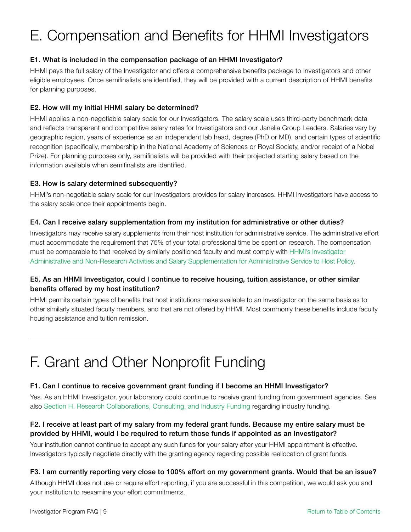## <span id="page-8-0"></span>E. Compensation and Benefits for HHMI Investigators

#### E1. What is included in the compensation package of an HHMI Investigator?

HHMI pays the full salary of the Investigator and offers a comprehensive benefits package to Investigators and other eligible employees. Once semifinalists are identified, they will be provided with a current description of HHMI benefits for planning purposes.

#### E2. How will my initial HHMI salary be determined?

HHMI applies a non-negotiable salary scale for our Investigators. The salary scale uses third-party benchmark data and reflects transparent and competitive salary rates for Investigators and our Janelia Group Leaders. Salaries vary by geographic region, years of experience as an independent lab head, degree (PhD or MD), and certain types of scientific recognition (specifically, membership in the National Academy of Sciences or Royal Society, and/or receipt of a Nobel Prize). For planning purposes only, semifinalists will be provided with their projected starting salary based on the information available when semifinalists are identified.

#### E3. How is salary determined subsequently?

HHMI's non-negotiable salary scale for our Investigators provides for salary increases. HHMI Investigators have access to the salary scale once their appointments begin.

#### <span id="page-8-2"></span>E4. Can I receive salary supplementation from my institution for administrative or other duties?

Investigators may receive salary supplements from their host institution for administrative service. The administrative effort must accommodate the requirement that 75% of your total professional time be spent on research. The compensation must be comparable to that received by similarly positioned faculty and must comply with [HHMI's Investigator](https://hhmicdn.blob.core.windows.net/policies/Investigator-Administrative-Non-Research-Activities-Salary-Supplementation)  [Administrative and Non-Research Activities and Salary Supplementation for Administrative Service to Host Policy.](https://hhmicdn.blob.core.windows.net/policies/Investigator-Administrative-Non-Research-Activities-Salary-Supplementation)

#### E5. As an HHMI Investigator, could I continue to receive housing, tuition assistance, or other similar benefits offered by my host institution?

HHMI permits certain types of benefits that host institutions make available to an Investigator on the same basis as to other similarly situated faculty members, and that are not offered by HHMI. Most commonly these benefits include faculty housing assistance and tuition remission.

### <span id="page-8-1"></span>F. Grant and Other Nonprofit Funding

#### F1. Can I continue to receive government grant funding if I become an HHMI Investigator?

Yes. As an HHMI Investigator, your laboratory could continue to receive grant funding from government agencies. See also [Section H. Research Collaborations, Consulting, and Industry Funding](#page-10-0) regarding industry funding.

#### F2. I receive at least part of my salary from my federal grant funds. Because my entire salary must be provided by HHMI, would I be required to return those funds if appointed as an Investigator?

Your institution cannot continue to accept any such funds for your salary after your HHMI appointment is effective. Investigators typically negotiate directly with the granting agency regarding possible reallocation of grant funds.

#### F3. I am currently reporting very close to 100% effort on my government grants. Would that be an issue?

Although HHMI does not use or require effort reporting, if you are successful in this competition, we would ask you and your institution to reexamine your effort commitments.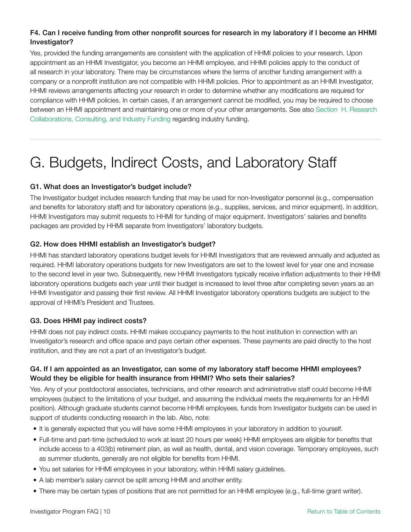#### <span id="page-9-1"></span>F4. Can I receive funding from other nonprofit sources for research in my laboratory if I become an HHMI Investigator?

Yes, provided the funding arrangements are consistent with the application of HHMI policies to your research. Upon appointment as an HHMI Investigator, you become an HHMI employee, and HHMI policies apply to the conduct of all research in your laboratory. There may be circumstances where the terms of another funding arrangement with a company or a nonprofit institution are not compatible with HHMI policies. Prior to appointment as an HHMI Investigator, HHMI reviews arrangements affecting your research in order to determine whether any modifications are required for compliance with HHMI policies. In certain cases, if an arrangement cannot be modified, you may be required to choose between an HHMI appointment and maintaining one or more of your other arrangements. See also [Section H. Research](#page-10-0)  [Collaborations, Consulting, and Industry Funding](#page-10-0) regarding industry funding.

### <span id="page-9-0"></span>G. Budgets, Indirect Costs, and Laboratory Staff

#### G1. What does an Investigator's budget include?

The Investigator budget includes research funding that may be used for non-Investigator personnel (e.g., compensation and benefits for laboratory staff) and for laboratory operations (e.g., supplies, services, and minor equipment). In addition, HHMI Investigators may submit requests to HHMI for funding of major equipment. Investigators' salaries and benefits packages are provided by HHMI separate from Investigators' laboratory budgets.

#### G2. How does HHMI establish an Investigator's budget?

HHMI has standard laboratory operations budget levels for HHMI Investigators that are reviewed annually and adjusted as required. HHMI laboratory operations budgets for new Investigators are set to the lowest level for year one and increase to the second level in year two. Subsequently, new HHMI Investigators typically receive inflation adjustments to their HHMI laboratory operations budgets each year until their budget is increased to level three after completing seven years as an HHMI Investigator and passing their first review. All HHMI Investigator laboratory operations budgets are subject to the approval of HHMI's President and Trustees.

#### G3. Does HHMI pay indirect costs?

HHMI does not pay indirect costs. HHMI makes occupancy payments to the host institution in connection with an Investigator's research and office space and pays certain other expenses. These payments are paid directly to the host institution, and they are not a part of an Investigator's budget.

#### G4. If I am appointed as an Investigator, can some of my laboratory staff become HHMI employees? Would they be eligible for health insurance from HHMI? Who sets their salaries?

Yes. Any of your postdoctoral associates, technicians, and other research and administrative staff could become HHMI employees (subject to the limitations of your budget, and assuming the individual meets the requirements for an HHMI position). Although graduate students cannot become HHMI employees, funds from Investigator budgets can be used in support of students conducting research in the lab. Also, note:

- It is generally expected that you will have some HHMI employees in your laboratory in addition to yourself.
- Full-time and part-time (scheduled to work at least 20 hours per week) HHMI employees are eligible for benefits that include access to a 403(b) retirement plan, as well as health, dental, and vision coverage. Temporary employees, such as summer students, generally are not eligible for benefits from HHMI.
- You set salaries for HHMI employees in your laboratory, within HHMI salary guidelines.
- A lab member's salary cannot be split among HHMI and another entity.
- There may be certain types of positions that are not permitted for an HHMI employee (e.g., full-time grant writer).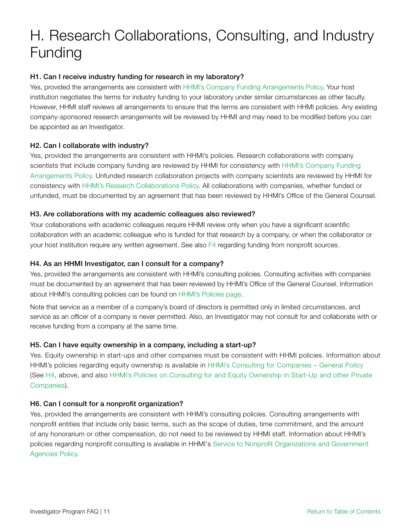### <span id="page-10-0"></span>H. Research Collaborations, Consulting, and Industry Funding

#### H1. Can I receive industry funding for research in my laboratory?

Yes, provided the arrangements are consistent with [HHMI's Company Funding Arrangements Policy.](https://hhmicdn.blob.core.windows.net/policies/Company-Funding-Arrangements) Your host institution negotiates the terms for industry funding to your laboratory under similar circumstances as other faculty. However, HHMI staff reviews all arrangements to ensure that the terms are consistent with HHMI policies. Any existing company-sponsored research arrangements will be reviewed by HHMI and may need to be modified before you can be appointed as an Investigator.

#### H2. Can I collaborate with industry?

Yes, provided the arrangements are consistent with HHMI's policies. Research collaborations with company scientists that include company funding are reviewed by HHMI for consistency with [HHMI's Company Funding](https://www.hhmi.org/sites/default/files/About/Policies/sc350-company-funding-policy.pdf) [Arrangements Policy.](https://hhmicdn.blob.core.windows.net/policies/Company-Funding-Arrangements) Unfunded research collaboration projects with company scientists are reviewed by HHMI for consistency with [HHMI's Research Collaborations Policy.](https://hhmicdn.blob.core.windows.net/policies/Research-Collaborations) All collaborations with companies, whether funded or unfunded, must be documented by an agreement that has been reviewed by HHMI's Office of the General Counsel.

#### H3. Are collaborations with my academic colleagues also reviewed?

Your collaborations with academic colleagues require HHMI review only when you have a significant scientific collaboration with an academic colleague who is funded for that research by a company, or when the collaborator or your host institution require any written agreement. See also [F4](#page-9-1) regarding funding from nonprofit sources.

#### <span id="page-10-1"></span>H4. As an HHMI Investigator, can I consult for a company?

Yes, provided the arrangements are consistent with HHMI's consulting policies. Consulting activities with companies must be documented by an agreement that has been reviewed by HHMI's Office of the General Counsel. Information about HHMI's consulting policies can be found on [HHMI's Policies page](https://www.hhmi.org/about/policies).

Note that service as a member of a company's board of directors is permitted only in limited circumstances, and service as an officer of a company is never permitted. Also, an Investigator may not consult for and collaborate with or receive funding from a company at the same time.

#### H5. Can I have equity ownership in a company, including a start-up?

Yes. Equity ownership in start-ups and other companies must be consistent with HHMI policies. Information about HHMI's policies regarding equity ownership is available in [HHMI's Consulting for Companies – General Policy](https://hhmicdn.blob.core.windows.net/policies/Consulting-for-Companies-General-Policy) (See [H4](#page-10-1), above, and also [HHMI's Policies on Consulting for and Equity Ownership in Start-Up and other Private](https://www.hhmi.org/sites/default/files/About/Policies/sc520-research-startup-consulting-policies.pdf) [Companies](https://hhmicdn.blob.core.windows.net/policies/Consulting-for-and-Equity-Ownership-in-Start-Up-and-Other-Private-Companies)).

#### H6. Can I consult for a nonprofit organization?

Yes, provided the arrangements are consistent with HHMI's consulting policies. Consulting arrangements with nonprofit entities that include only basic terms, such as the scope of duties, time commitment, and the amount of any honorarium or other compensation, do not need to be reviewed by HHMI staff. Information about HHMI's policies regarding nonprofit consulting is available in HHMI's [Service to Nonprofit Organizations and Government](https://www.hhmi.org/sites/default/files/About/Policies/sc550-service-to-non-profits-and-government-agencies.pdf) [Agencies Policy.](https://hhmicdn.blob.core.windows.net/policies/Service-to-Non-Profit-Organizations-and-Government-Agencies)